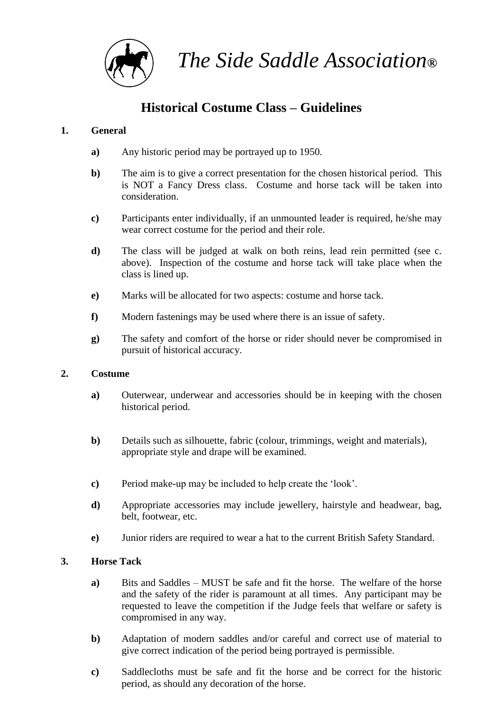

*The Side Saddle Association***®**

# **Historical Costume Class – Guidelines**

### **1. General**

- **a)** Any historic period may be portrayed up to 1950.
- **b)** The aim is to give a correct presentation for the chosen historical period. This is NOT a Fancy Dress class. Costume and horse tack will be taken into consideration.
- **c)** Participants enter individually, if an unmounted leader is required, he/she may wear correct costume for the period and their role.
- **d)** The class will be judged at walk on both reins, lead rein permitted (see c. above). Inspection of the costume and horse tack will take place when the class is lined up.
- **e)** Marks will be allocated for two aspects: costume and horse tack.
- **f)** Modern fastenings may be used where there is an issue of safety.
- **g)** The safety and comfort of the horse or rider should never be compromised in pursuit of historical accuracy.

#### **2. Costume**

- **a)** Outerwear, underwear and accessories should be in keeping with the chosen historical period.
- **b)** Details such as silhouette, fabric (colour, trimmings, weight and materials), appropriate style and drape will be examined.
- **c)** Period make-up may be included to help create the 'look'.
- **d)** Appropriate accessories may include jewellery, hairstyle and headwear, bag, belt, footwear, etc.
- **e)** Junior riders are required to wear a hat to the current British Safety Standard.

#### **3. Horse Tack**

- **a)** Bits and Saddles MUST be safe and fit the horse. The welfare of the horse and the safety of the rider is paramount at all times. Any participant may be requested to leave the competition if the Judge feels that welfare or safety is compromised in any way.
- **b)** Adaptation of modern saddles and/or careful and correct use of material to give correct indication of the period being portrayed is permissible.
- **c)** Saddlecloths must be safe and fit the horse and be correct for the historic period, as should any decoration of the horse.